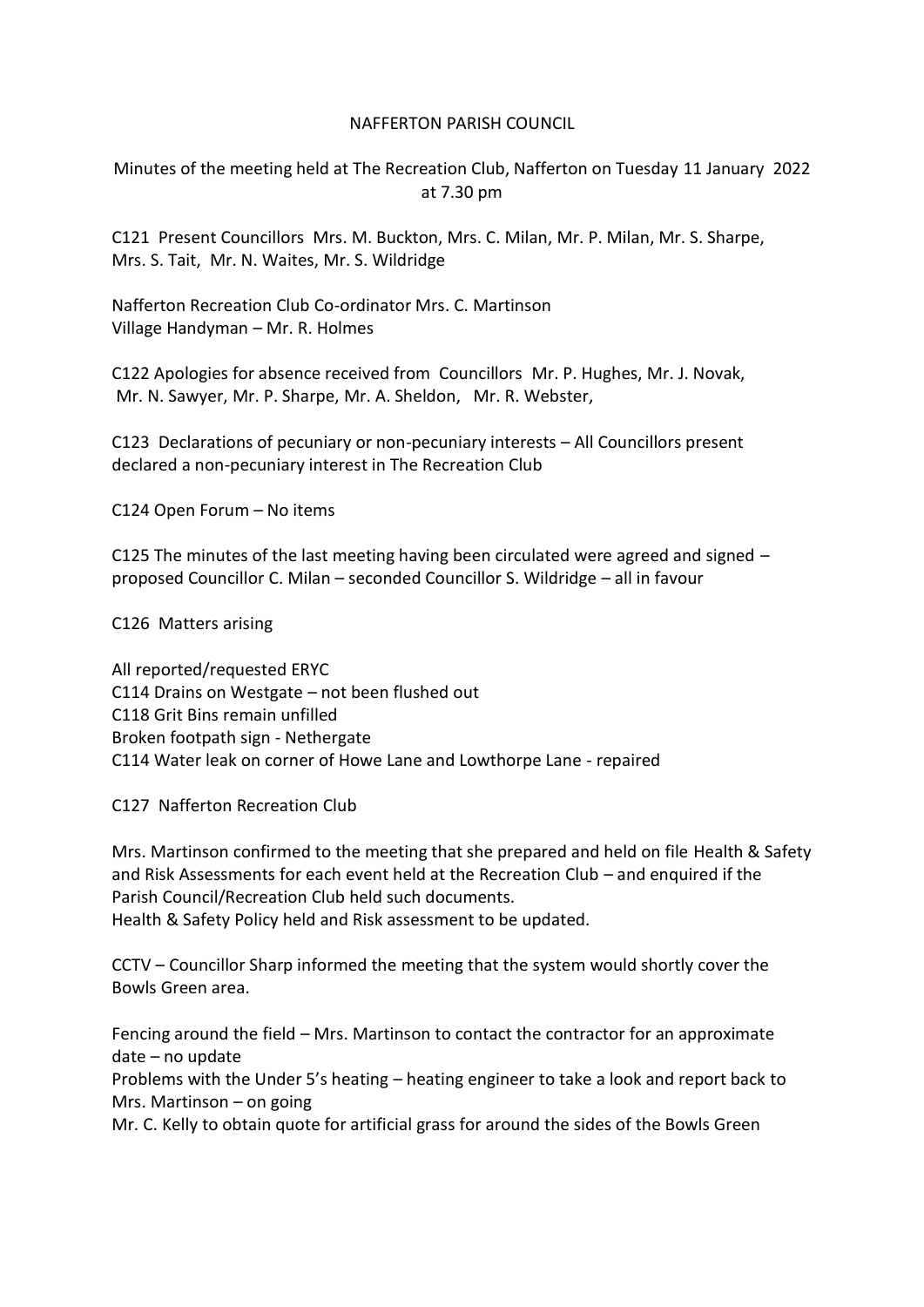## NAFFERTON PARISH COUNCIL

Minutes of the meeting held at The Recreation Club, Nafferton on Tuesday 11 January 2022 at 7.30 pm

C121 Present Councillors Mrs. M. Buckton, Mrs. C. Milan, Mr. P. Milan, Mr. S. Sharpe, Mrs. S. Tait, Mr. N. Waites, Mr. S. Wildridge

Nafferton Recreation Club Co-ordinator Mrs. C. Martinson Village Handyman – Mr. R. Holmes

C122 Apologies for absence received from Councillors Mr. P. Hughes, Mr. J. Novak, Mr. N. Sawyer, Mr. P. Sharpe, Mr. A. Sheldon, Mr. R. Webster,

C123 Declarations of pecuniary or non-pecuniary interests – All Councillors present declared a non-pecuniary interest in The Recreation Club

C124 Open Forum – No items

C125 The minutes of the last meeting having been circulated were agreed and signed – proposed Councillor C. Milan – seconded Councillor S. Wildridge – all in favour

C126 Matters arising

All reported/requested ERYC C114 Drains on Westgate – not been flushed out C118 Grit Bins remain unfilled Broken footpath sign - Nethergate C114 Water leak on corner of Howe Lane and Lowthorpe Lane - repaired

C127 Nafferton Recreation Club

Mrs. Martinson confirmed to the meeting that she prepared and held on file Health & Safety and Risk Assessments for each event held at the Recreation Club – and enquired if the Parish Council/Recreation Club held such documents.

Health & Safety Policy held and Risk assessment to be updated.

CCTV – Councillor Sharp informed the meeting that the system would shortly cover the Bowls Green area.

Fencing around the field – Mrs. Martinson to contact the contractor for an approximate date – no update

Problems with the Under 5's heating – heating engineer to take a look and report back to Mrs. Martinson – on going

Mr. C. Kelly to obtain quote for artificial grass for around the sides of the Bowls Green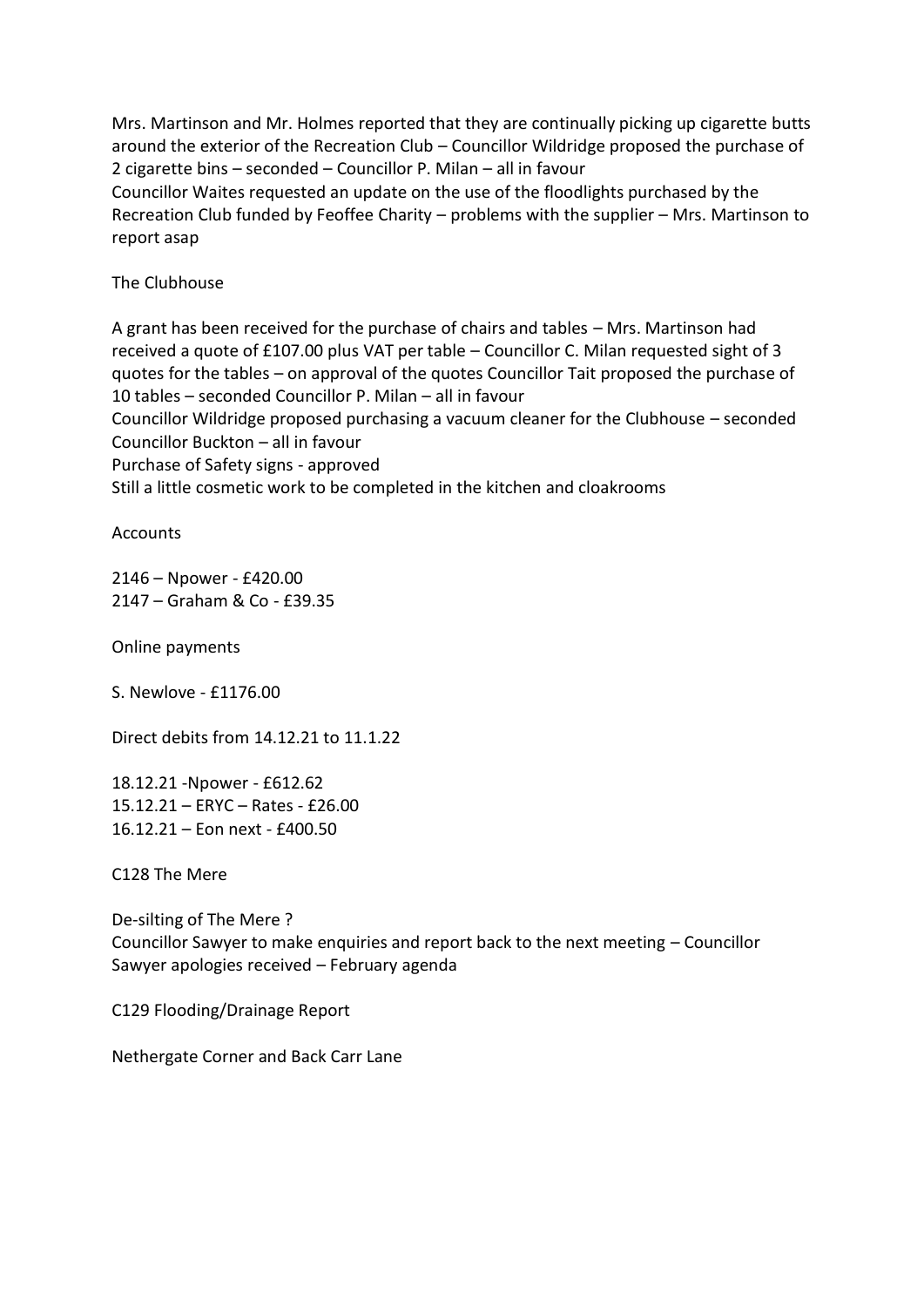Mrs. Martinson and Mr. Holmes reported that they are continually picking up cigarette butts around the exterior of the Recreation Club – Councillor Wildridge proposed the purchase of 2 cigarette bins – seconded – Councillor P. Milan – all in favour

Councillor Waites requested an update on the use of the floodlights purchased by the Recreation Club funded by Feoffee Charity – problems with the supplier – Mrs. Martinson to report asap

The Clubhouse

A grant has been received for the purchase of chairs and tables – Mrs. Martinson had received a quote of £107.00 plus VAT per table – Councillor C. Milan requested sight of 3 quotes for the tables – on approval of the quotes Councillor Tait proposed the purchase of 10 tables – seconded Councillor P. Milan – all in favour

Councillor Wildridge proposed purchasing a vacuum cleaner for the Clubhouse – seconded Councillor Buckton – all in favour

Purchase of Safety signs - approved

Still a little cosmetic work to be completed in the kitchen and cloakrooms

**Accounts** 

2146 – Npower - £420.00 2147 – Graham & Co - £39.35

Online payments

S. Newlove - £1176.00

Direct debits from 14.12.21 to 11.1.22

18.12.21 -Npower - £612.62 15.12.21 – ERYC – Rates - £26.00 16.12.21 – Eon next - £400.50

C128 The Mere

De-silting of The Mere ? Councillor Sawyer to make enquiries and report back to the next meeting – Councillor Sawyer apologies received – February agenda

C129 Flooding/Drainage Report

Nethergate Corner and Back Carr Lane